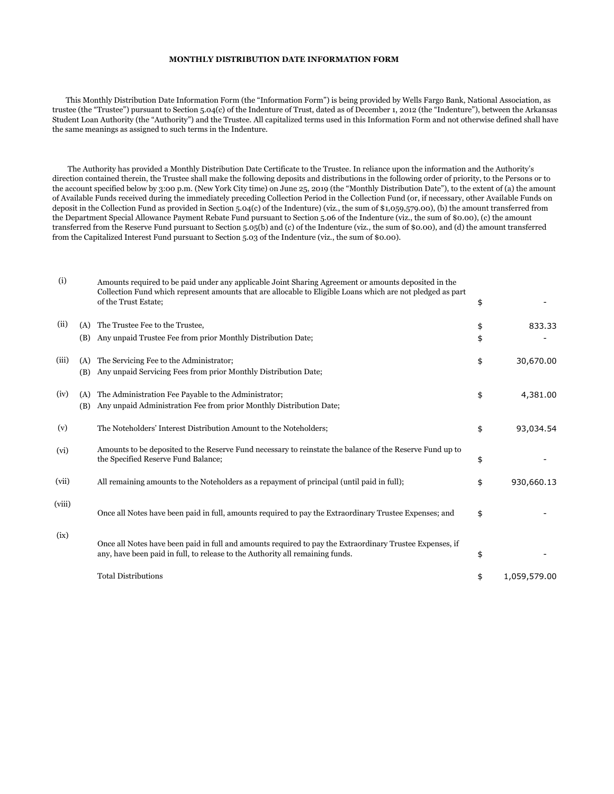## **MONTHLY DISTRIBUTION DATE INFORMATION FORM**

 This Monthly Distribution Date Information Form (the "Information Form") is being provided by Wells Fargo Bank, National Association, as trustee (the "Trustee") pursuant to Section 5.04(c) of the Indenture of Trust, dated as of December 1, 2012 (the "Indenture"), between the Arkansas Student Loan Authority (the "Authority") and the Trustee. All capitalized terms used in this Information Form and not otherwise defined shall have the same meanings as assigned to such terms in the Indenture.

 The Authority has provided a Monthly Distribution Date Certificate to the Trustee. In reliance upon the information and the Authority's direction contained therein, the Trustee shall make the following deposits and distributions in the following order of priority, to the Persons or to the account specified below by 3:00 p.m. (New York City time) on June 25, 2019 (the "Monthly Distribution Date"), to the extent of (a) the amount of Available Funds received during the immediately preceding Collection Period in the Collection Fund (or, if necessary, other Available Funds on deposit in the Collection Fund as provided in Section 5.04(c) of the Indenture) (viz., the sum of \$1,059,579.00), (b) the amount transferred from the Department Special Allowance Payment Rebate Fund pursuant to Section 5.06 of the Indenture (viz., the sum of \$0.00), (c) the amount transferred from the Reserve Fund pursuant to Section 5.05(b) and (c) of the Indenture (viz., the sum of \$0.00), and (d) the amount transferred from the Capitalized Interest Fund pursuant to Section 5.03 of the Indenture (viz., the sum of \$0.00).

| (i)    |            | Amounts required to be paid under any applicable Joint Sharing Agreement or amounts deposited in the<br>Collection Fund which represent amounts that are allocable to Eligible Loans which are not pledged as part<br>of the Trust Estate; | \$       |              |
|--------|------------|--------------------------------------------------------------------------------------------------------------------------------------------------------------------------------------------------------------------------------------------|----------|--------------|
| (ii)   | (A)<br>(B) | The Trustee Fee to the Trustee,<br>Any unpaid Trustee Fee from prior Monthly Distribution Date;                                                                                                                                            | \$<br>\$ | 833.33       |
| (iii)  | (A)<br>(B) | The Servicing Fee to the Administrator;<br>Any unpaid Servicing Fees from prior Monthly Distribution Date;                                                                                                                                 | \$       | 30,670.00    |
| (iv)   | (A)<br>(B) | The Administration Fee Payable to the Administrator;<br>Any unpaid Administration Fee from prior Monthly Distribution Date;                                                                                                                | \$       | 4,381.00     |
| (v)    |            | The Noteholders' Interest Distribution Amount to the Noteholders;                                                                                                                                                                          | \$       | 93,034.54    |
| (vi)   |            | Amounts to be deposited to the Reserve Fund necessary to reinstate the balance of the Reserve Fund up to<br>the Specified Reserve Fund Balance;                                                                                            | \$       |              |
| (vii)  |            | All remaining amounts to the Noteholders as a repayment of principal (until paid in full);                                                                                                                                                 | \$       | 930,660.13   |
| (viii) |            | Once all Notes have been paid in full, amounts required to pay the Extraordinary Trustee Expenses; and                                                                                                                                     | \$       |              |
| (ix)   |            | Once all Notes have been paid in full and amounts required to pay the Extraordinary Trustee Expenses, if<br>any, have been paid in full, to release to the Authority all remaining funds.                                                  | \$       |              |
|        |            | <b>Total Distributions</b>                                                                                                                                                                                                                 | \$       | 1,059,579.00 |